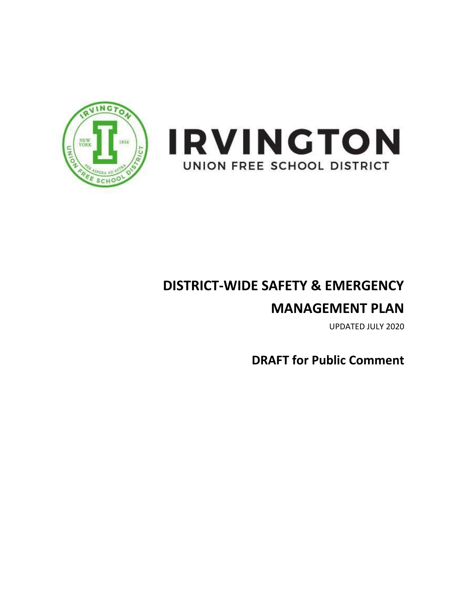



# **DISTRICT-WIDE SAFETY & EMERGENCY**

# **MANAGEMENT PLAN**

UPDATED JULY 2020

**DRAFT for Public Comment**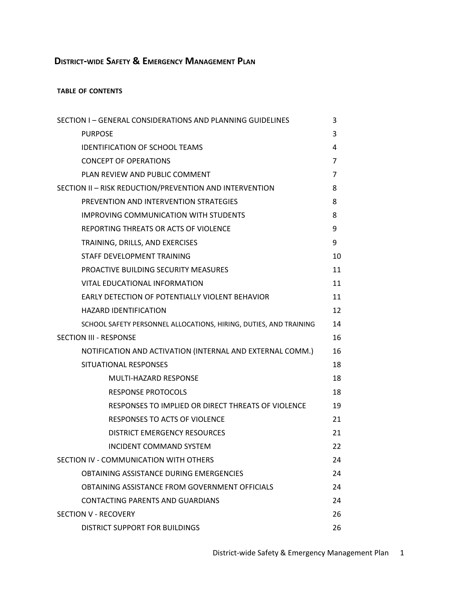# **DISTRICT-WIDE SAFETY & EMERGENCY MANAGEMENT PLAN**

#### **TABLE OF CONTENTS**

| SECTION I - GENERAL CONSIDERATIONS AND PLANNING GUIDELINES        | 3              |
|-------------------------------------------------------------------|----------------|
| <b>PURPOSE</b>                                                    | 3              |
| <b>IDENTIFICATION OF SCHOOL TEAMS</b>                             | 4              |
| <b>CONCEPT OF OPERATIONS</b>                                      | $\overline{7}$ |
| PLAN REVIEW AND PUBLIC COMMENT                                    | $\overline{7}$ |
| SECTION II - RISK REDUCTION/PREVENTION AND INTERVENTION           | 8              |
| PREVENTION AND INTERVENTION STRATEGIES                            | 8              |
| <b>IMPROVING COMMUNICATION WITH STUDENTS</b>                      | 8              |
| REPORTING THREATS OR ACTS OF VIOLENCE                             | 9              |
| TRAINING, DRILLS, AND EXERCISES                                   | 9              |
| STAFF DEVELOPMENT TRAINING                                        | 10             |
| PROACTIVE BUILDING SECURITY MEASURES                              | 11             |
| VITAL EDUCATIONAL INFORMATION                                     | 11             |
| EARLY DETECTION OF POTENTIALLY VIOLENT BEHAVIOR                   | 11             |
| <b>HAZARD IDENTIFICATION</b>                                      | 12             |
| SCHOOL SAFETY PERSONNEL ALLOCATIONS, HIRING, DUTIES, AND TRAINING | 14             |
| <b>SECTION III - RESPONSE</b>                                     | 16             |
| NOTIFICATION AND ACTIVATION (INTERNAL AND EXTERNAL COMM.)         | 16             |
| SITUATIONAL RESPONSES                                             | 18             |
| MULTI-HAZARD RESPONSE                                             | 18             |
| <b>RESPONSE PROTOCOLS</b>                                         | 18             |
| RESPONSES TO IMPLIED OR DIRECT THREATS OF VIOLENCE                | 19             |
| <b>RESPONSES TO ACTS OF VIOLENCE</b>                              | 21             |
| <b>DISTRICT EMERGENCY RESOURCES</b>                               | 21             |
| <b>INCIDENT COMMAND SYSTEM</b>                                    | 22             |
| SECTION IV - COMMUNICATION WITH OTHERS                            | 24             |
| OBTAINING ASSISTANCE DURING EMERGENCIES                           | 24             |
| OBTAINING ASSISTANCE FROM GOVERNMENT OFFICIALS                    | 24             |
| CONTACTING PARENTS AND GUARDIANS                                  | 24             |
| <b>SECTION V - RECOVERY</b>                                       | 26             |
| DISTRICT SUPPORT FOR BUILDINGS                                    | 26             |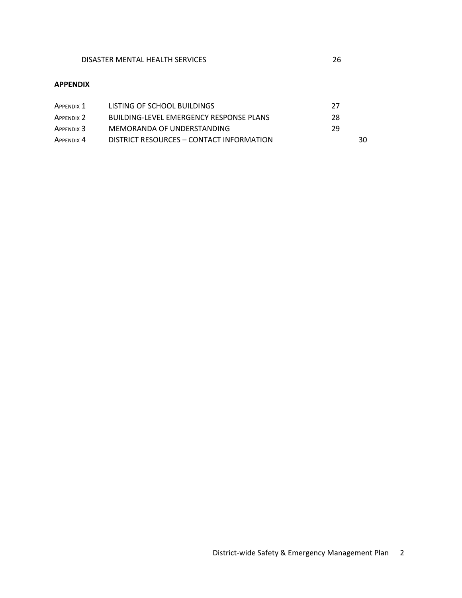#### **APPENDIX**

| Appendix 1            | LISTING OF SCHOOL BUILDINGS              | -27 |
|-----------------------|------------------------------------------|-----|
| APPENDIX <sub>2</sub> | BUILDING-LEVEL EMERGENCY RESPONSE PLANS  | 28  |
| APPENDIX 3            | MEMORANDA OF UNDERSTANDING               | 29  |
| APPENDIX 4            | DISTRICT RESOURCES - CONTACT INFORMATION | 30  |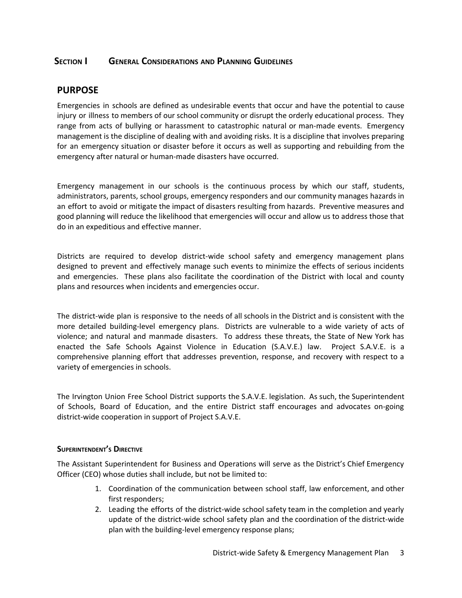## **SECTION I GENERAL CONSIDERATIONS AND PLANNING GUIDELINES**

## **PURPOSE**

Emergencies in schools are defined as undesirable events that occur and have the potential to cause injury or illness to members of our school community or disrupt the orderly educational process. They range from acts of bullying or harassment to catastrophic natural or man-made events. Emergency management is the discipline of dealing with and avoiding risks. It is a discipline that involves preparing for an emergency situation or disaster before it occurs as well as supporting and rebuilding from the emergency after natural or human-made disasters have occurred.

Emergency management in our schools is the continuous process by which our staff, students, administrators, parents, school groups, emergency responders and our community manages hazards in an effort to avoid or mitigate the impact of disasters resulting from hazards. Preventive measures and good planning will reduce the likelihood that emergencies will occur and allow us to address those that do in an expeditious and effective manner.

Districts are required to develop district-wide school safety and emergency management plans designed to prevent and effectively manage such events to minimize the effects of serious incidents and emergencies. These plans also facilitate the coordination of the District with local and county plans and resources when incidents and emergencies occur.

The district-wide plan is responsive to the needs of all schools in the District and is consistent with the more detailed building-level emergency plans. Districts are vulnerable to a wide variety of acts of violence; and natural and manmade disasters. To address these threats, the State of New York has enacted the Safe Schools Against Violence in Education (S.A.V.E.) law. Project S.A.V.E. is a comprehensive planning effort that addresses prevention, response, and recovery with respect to a variety of emergencies in schools.

The Irvington Union Free School District supports the S.A.V.E. legislation. As such, the Superintendent of Schools, Board of Education, and the entire District staff encourages and advocates on-going district-wide cooperation in support of Project S.A.V.E.

#### **SUPERINTENDENT'S DIRECTIVE**

The Assistant Superintendent for Business and Operations will serve as the District's Chief Emergency Officer (CEO) whose duties shall include, but not be limited to:

- 1. Coordination of the communication between school staff, law enforcement, and other first responders;
- 2. Leading the efforts of the district-wide school safety team in the completion and yearly update of the district-wide school safety plan and the coordination of the district-wide plan with the building-level emergency response plans;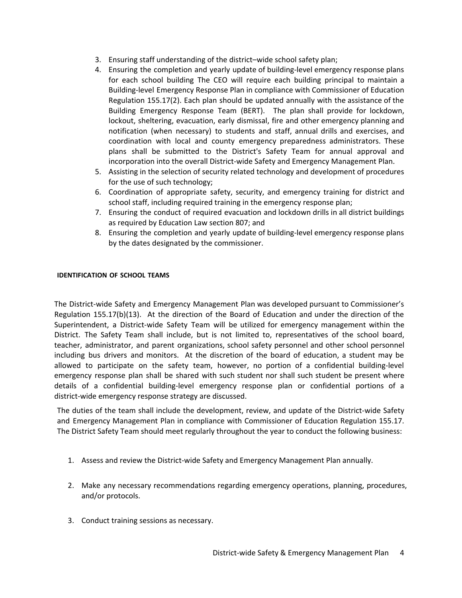- 3. Ensuring staff understanding of the district–wide school safety plan;
- 4. Ensuring the completion and yearly update of building-level emergency response plans for each school building The CEO will require each building principal to maintain a Building-level Emergency Response Plan in compliance with Commissioner of Education Regulation 155.17(2). Each plan should be updated annually with the assistance of the Building Emergency Response Team (BERT). The plan shall provide for lockdown, lockout, sheltering, evacuation, early dismissal, fire and other emergency planning and notification (when necessary) to students and staff, annual drills and exercises, and coordination with local and county emergency preparedness administrators. These plans shall be submitted to the District's Safety Team for annual approval and incorporation into the overall District-wide Safety and Emergency Management Plan.
- 5. Assisting in the selection of security related technology and development of procedures for the use of such technology;
- 6. Coordination of appropriate safety, security, and emergency training for district and school staff, including required training in the emergency response plan;
- 7. Ensuring the conduct of required evacuation and lockdown drills in all district buildings as required by Education Law section 807; and
- 8. Ensuring the completion and yearly update of building-level emergency response plans by the dates designated by the commissioner.

#### **IDENTIFICATION OF SCHOOL TEAMS**

The District-wide Safety and Emergency Management Plan was developed pursuant to Commissioner's Regulation 155.17(b)(13). At the direction of the Board of Education and under the direction of the Superintendent, a District-wide Safety Team will be utilized for emergency management within the District. The Safety Team shall include, but is not limited to, representatives of the school board, teacher, administrator, and parent organizations, school safety personnel and other school personnel including bus drivers and monitors. At the discretion of the board of education, a student may be allowed to participate on the safety team, however, no portion of a confidential building-level emergency response plan shall be shared with such student nor shall such student be present where details of a confidential building-level emergency response plan or confidential portions of a district-wide emergency response strategy are discussed.

The duties of the team shall include the development, review, and update of the District-wide Safety and Emergency Management Plan in compliance with Commissioner of Education Regulation 155.17. The District Safety Team should meet regularly throughout the year to conduct the following business:

- 1. Assess and review the District-wide Safety and Emergency Management Plan annually.
- 2. Make any necessary recommendations regarding emergency operations, planning, procedures, and/or protocols.
- 3. Conduct training sessions as necessary.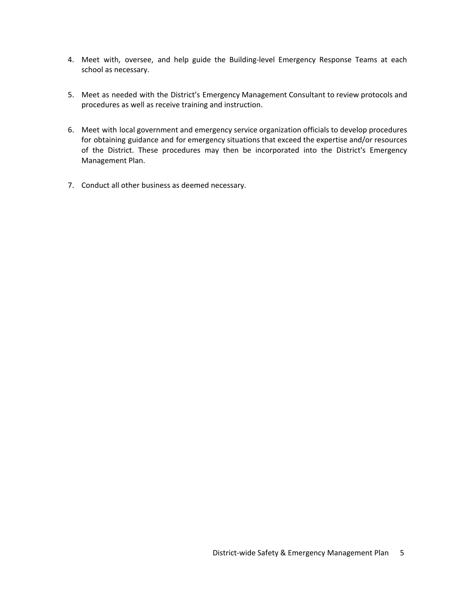- 4. Meet with, oversee, and help guide the Building-level Emergency Response Teams at each school as necessary.
- 5. Meet as needed with the District's Emergency Management Consultant to review protocols and procedures as well as receive training and instruction.
- 6. Meet with local government and emergency service organization officials to develop procedures for obtaining guidance and for emergency situations that exceed the expertise and/or resources of the District. These procedures may then be incorporated into the District's Emergency Management Plan.
- 7. Conduct all other business as deemed necessary.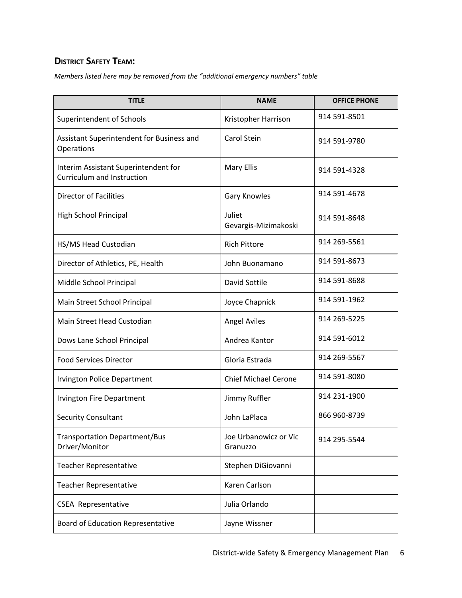## **DISTRICT SAFETY TEAM:**

*Members listed here may be removed from the "additional emergency numbers" table*

| <b>TITLE</b>                                                              | <b>NAME</b>                       | <b>OFFICE PHONE</b> |
|---------------------------------------------------------------------------|-----------------------------------|---------------------|
| Superintendent of Schools                                                 | Kristopher Harrison               | 914 591-8501        |
| Assistant Superintendent for Business and<br>Operations                   | <b>Carol Stein</b>                | 914 591-9780        |
| Interim Assistant Superintendent for<br><b>Curriculum and Instruction</b> | <b>Mary Ellis</b>                 | 914 591-4328        |
| <b>Director of Facilities</b>                                             | <b>Gary Knowles</b>               | 914 591-4678        |
| High School Principal                                                     | Juliet<br>Gevargis-Mizimakoski    | 914 591-8648        |
| HS/MS Head Custodian                                                      | <b>Rich Pittore</b>               | 914 269-5561        |
| Director of Athletics, PE, Health                                         | John Buonamano                    | 914 591-8673        |
| Middle School Principal                                                   | David Sottile                     | 914 591-8688        |
| Main Street School Principal                                              | Joyce Chapnick                    | 914 591-1962        |
| Main Street Head Custodian                                                | <b>Angel Aviles</b>               | 914 269-5225        |
| Dows Lane School Principal                                                | Andrea Kantor                     | 914 591-6012        |
| <b>Food Services Director</b>                                             | Gloria Estrada                    | 914 269-5567        |
| <b>Irvington Police Department</b>                                        | <b>Chief Michael Cerone</b>       | 914 591-8080        |
| <b>Irvington Fire Department</b>                                          | Jimmy Ruffler                     | 914 231-1900        |
| Security Consultant                                                       | John LaPlaca                      | 866 960-8739        |
| <b>Transportation Department/Bus</b><br>Driver/Monitor                    | Joe Urbanowicz or Vic<br>Granuzzo | 914 295-5544        |
| <b>Teacher Representative</b>                                             | Stephen DiGiovanni                |                     |
| <b>Teacher Representative</b>                                             | Karen Carlson                     |                     |
| <b>CSEA Representative</b>                                                | Julia Orlando                     |                     |
| Board of Education Representative                                         | Jayne Wissner                     |                     |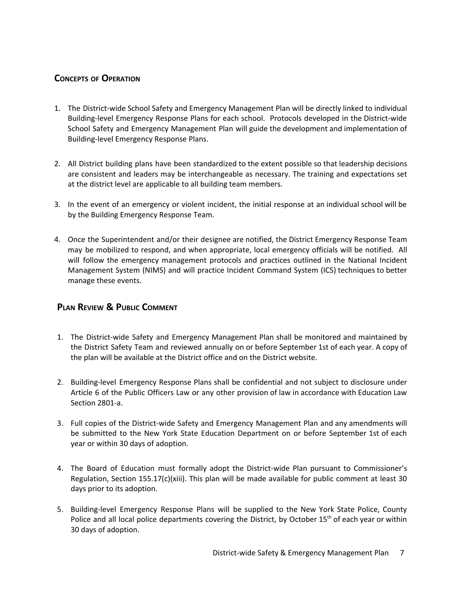## **CONCEPTS OF OPERATION**

- 1. The District-wide School Safety and Emergency Management Plan will be directly linked to individual Building-level Emergency Response Plans for each school. Protocols developed in the District-wide School Safety and Emergency Management Plan will guide the development and implementation of Building-level Emergency Response Plans.
- 2. All District building plans have been standardized to the extent possible so that leadership decisions are consistent and leaders may be interchangeable as necessary. The training and expectations set at the district level are applicable to all building team members.
- 3. In the event of an emergency or violent incident, the initial response at an individual school will be by the Building Emergency Response Team.
- 4. Once the Superintendent and/or their designee are notified, the District Emergency Response Team may be mobilized to respond, and when appropriate, local emergency officials will be notified. All will follow the emergency management protocols and practices outlined in the National Incident Management System (NIMS) and will practice Incident Command System (ICS) techniques to better manage these events.

## **PLAN REVIEW & PUBLIC COMMENT**

- 1. The District-wide Safety and Emergency Management Plan shall be monitored and maintained by the District Safety Team and reviewed annually on or before September 1st of each year. A copy of the plan will be available at the District office and on the District website.
- 2. Building-level Emergency Response Plans shall be confidential and not subject to disclosure under Article 6 of the Public Officers Law or any other provision of law in accordance with Education Law Section 2801-a.
- 3. Full copies of the District-wide Safety and Emergency Management Plan and any amendments will be submitted to the New York State Education Department on or before September 1st of each year or within 30 days of adoption.
- 4. The Board of Education must formally adopt the District-wide Plan pursuant to Commissioner's Regulation, Section 155.17(c)(xiii). This plan will be made available for public comment at least 30 days prior to its adoption.
- 5. Building-level Emergency Response Plans will be supplied to the New York State Police, County Police and all local police departments covering the District, by October 15<sup>th</sup> of each year or within 30 days of adoption.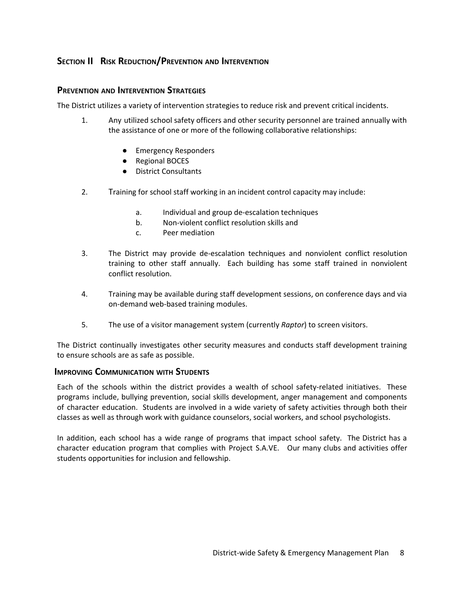## **SECTION II RISK REDUCTION/PREVENTION AND INTERVENTION**

## **PREVENTION AND INTERVENTION STRATEGIES**

The District utilizes a variety of intervention strategies to reduce risk and prevent critical incidents.

- 1. Any utilized school safety officers and other security personnel are trained annually with the assistance of one or more of the following collaborative relationships:
	- Emergency Responders
	- Regional BOCES
	- District Consultants
- 2. Training for school staff working in an incident control capacity may include:
	- a. Individual and group de-escalation techniques
	- b. Non-violent conflict resolution skills and
	- c. Peer mediation
- 3. The District may provide de-escalation techniques and nonviolent conflict resolution training to other staff annually. Each building has some staff trained in nonviolent conflict resolution.
- 4. Training may be available during staff development sessions, on conference days and via on-demand web-based training modules.
- 5. The use of a visitor management system (currently *Raptor*) to screen visitors.

The District continually investigates other security measures and conducts staff development training to ensure schools are as safe as possible.

## **IMPROVING COMMUNICATION WITH STUDENTS**

Each of the schools within the district provides a wealth of school safety-related initiatives. These programs include, bullying prevention, social skills development, anger management and components of character education. Students are involved in a wide variety of safety activities through both their classes as well as through work with guidance counselors, social workers, and school psychologists.

In addition, each school has a wide range of programs that impact school safety. The District has a character education program that complies with Project S.A.VE. Our many clubs and activities offer students opportunities for inclusion and fellowship.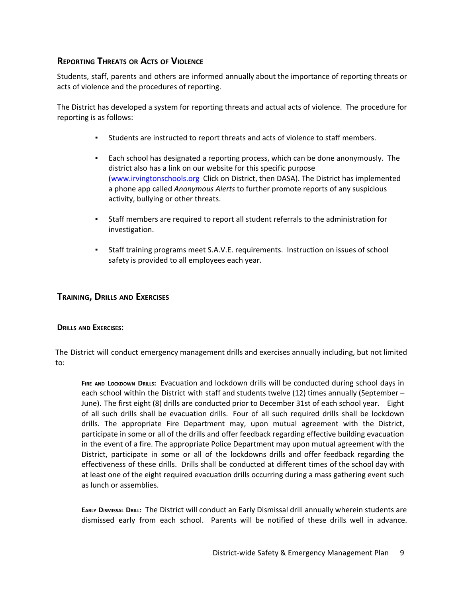## **REPORTING THREATS OR ACTS OF VIOLENCE**

Students, staff, parents and others are informed annually about the importance of reporting threats or acts of violence and the procedures of reporting.

The District has developed a system for reporting threats and actual acts of violence. The procedure for reporting is as follows:

- Students are instructed to report threats and acts of violence to staff members.
- Each school has designated a reporting process, which can be done anonymously. The district also has a link on our website for this specific purpose [\(www.irvingtonschools.org](http://www.irvingtonschools.org/) Click on District, then DASA). The District has implemented a phone app called *Anonymous Alerts* to further promote reports of any suspicious activity, bullying or other threats.
- Staff members are required to report all student referrals to the administration for investigation.
- Staff training programs meet S.A.V.E. requirements. Instruction on issues of school safety is provided to all employees each year.

#### **TRAINING, DRILLS AND EXERCISES**

#### **DRILLS AND EXERCISES:**

The District will conduct emergency management drills and exercises annually including, but not limited to:

**FIRE AND LOCKDOWN DRILLS:** Evacuation and lockdown drills will be conducted during school days in each school within the District with staff and students twelve (12) times annually (September – June). The first eight (8) drills are conducted prior to December 31st of each school year. Eight of all such drills shall be evacuation drills. Four of all such required drills shall be lockdown drills. The appropriate Fire Department may, upon mutual agreement with the District, participate in some or all of the drills and offer feedback regarding effective building evacuation in the event of a fire. The appropriate Police Department may upon mutual agreement with the District, participate in some or all of the lockdowns drills and offer feedback regarding the effectiveness of these drills. Drills shall be conducted at different times of the school day with at least one of the eight required evacuation drills occurring during a mass gathering event such as lunch or assemblies.

**EARLY DISMISSAL DRILL:** The District will conduct an Early Dismissal drill annually wherein students are dismissed early from each school. Parents will be notified of these drills well in advance.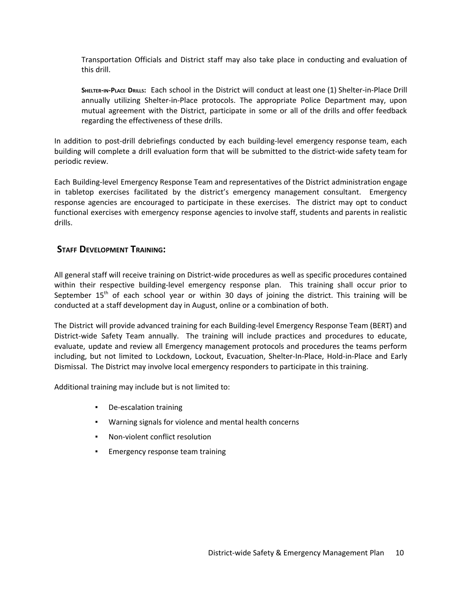Transportation Officials and District staff may also take place in conducting and evaluation of this drill.

**SHELTER-IN-PLACE DRILLS:** Each school in the District will conduct at least one (1) Shelter-in-Place Drill annually utilizing Shelter-in-Place protocols. The appropriate Police Department may, upon mutual agreement with the District, participate in some or all of the drills and offer feedback regarding the effectiveness of these drills.

In addition to post-drill debriefings conducted by each building-level emergency response team, each building will complete a drill evaluation form that will be submitted to the district-wide safety team for periodic review.

Each Building-level Emergency Response Team and representatives of the District administration engage in tabletop exercises facilitated by the district's emergency management consultant. Emergency response agencies are encouraged to participate in these exercises. The district may opt to conduct functional exercises with emergency response agencies to involve staff, students and parents in realistic drills.

## **STAFF DEVELOPMENT TRAINING:**

All general staff will receive training on District-wide procedures as well as specific procedures contained within their respective building-level emergency response plan. This training shall occur prior to September 15<sup>th</sup> of each school year or within 30 days of joining the district. This training will be conducted at a staff development day in August, online or a combination of both.

The District will provide advanced training for each Building-level Emergency Response Team (BERT) and District-wide Safety Team annually. The training will include practices and procedures to educate, evaluate, update and review all Emergency management protocols and procedures the teams perform including, but not limited to Lockdown, Lockout, Evacuation, Shelter-In-Place, Hold-in-Place and Early Dismissal. The District may involve local emergency responders to participate in this training.

Additional training may include but is not limited to:

- De-escalation training
- Warning signals for violence and mental health concerns
- Non-violent conflict resolution
- Emergency response team training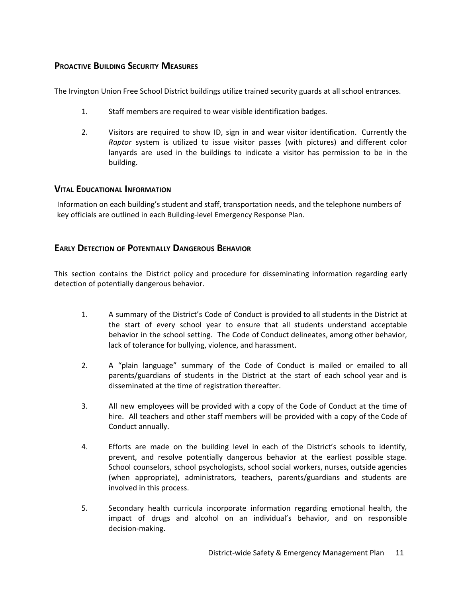## **PROACTIVE BUILDING SECURITY MEASURES**

The Irvington Union Free School District buildings utilize trained security guards at all school entrances.

- 1. Staff members are required to wear visible identification badges.
- 2. Visitors are required to show ID, sign in and wear visitor identification. Currently the *Raptor* system is utilized to issue visitor passes (with pictures) and different color lanyards are used in the buildings to indicate a visitor has permission to be in the building.

#### **VITAL EDUCATIONAL INFORMATION**

Information on each building's student and staff, transportation needs, and the telephone numbers of key officials are outlined in each Building-level Emergency Response Plan.

## **EARLY DETECTION OF POTENTIALLY DANGEROUS BEHAVIOR**

This section contains the District policy and procedure for disseminating information regarding early detection of potentially dangerous behavior.

- 1. A summary of the District's Code of Conduct is provided to all students in the District at the start of every school year to ensure that all students understand acceptable behavior in the school setting. The Code of Conduct delineates, among other behavior, lack of tolerance for bullying, violence, and harassment.
- 2. A "plain language" summary of the Code of Conduct is mailed or emailed to all parents/guardians of students in the District at the start of each school year and is disseminated at the time of registration thereafter.
- 3. All new employees will be provided with a copy of the Code of Conduct at the time of hire. All teachers and other staff members will be provided with a copy of the Code of Conduct annually.
- 4. Efforts are made on the building level in each of the District's schools to identify, prevent, and resolve potentially dangerous behavior at the earliest possible stage. School counselors, school psychologists, school social workers, nurses, outside agencies (when appropriate), administrators, teachers, parents/guardians and students are involved in this process.
- 5. Secondary health curricula incorporate information regarding emotional health, the impact of drugs and alcohol on an individual's behavior, and on responsible decision-making.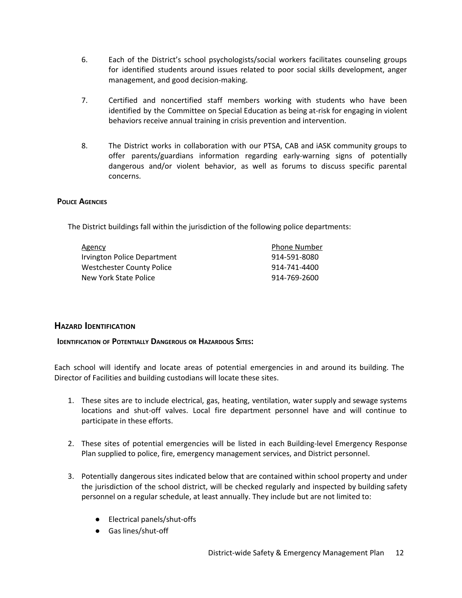- 6. Each of the District's school psychologists/social workers facilitates counseling groups for identified students around issues related to poor social skills development, anger management, and good decision-making.
- 7. Certified and noncertified staff members working with students who have been identified by the Committee on Special Education as being at-risk for engaging in violent behaviors receive annual training in crisis prevention and intervention.
- 8. The District works in collaboration with our PTSA, CAB and iASK community groups to offer parents/guardians information regarding early-warning signs of potentially dangerous and/or violent behavior, as well as forums to discuss specific parental concerns.

#### **POLICE AGENCIES**

The District buildings fall within the jurisdiction of the following police departments:

| Agency                           | <b>Phone Number</b> |
|----------------------------------|---------------------|
| Irvington Police Department      | 914-591-8080        |
| <b>Westchester County Police</b> | 914-741-4400        |
| New York State Police            | 914-769-2600        |

## **HAZARD IDENTIFICATION**

## **IDENTIFICATION OF POTENTIALLY DANGEROUS OR HAZARDOUS SITES:**

Each school will identify and locate areas of potential emergencies in and around its building. The Director of Facilities and building custodians will locate these sites.

- 1. These sites are to include electrical, gas, heating, ventilation, water supply and sewage systems locations and shut-off valves. Local fire department personnel have and will continue to participate in these efforts.
- 2. These sites of potential emergencies will be listed in each Building-level Emergency Response Plan supplied to police, fire, emergency management services, and District personnel.
- 3. Potentially dangerous sites indicated below that are contained within school property and under the jurisdiction of the school district, will be checked regularly and inspected by building safety personnel on a regular schedule, at least annually. They include but are not limited to:
	- Electrical panels/shut-offs
	- Gas lines/shut-off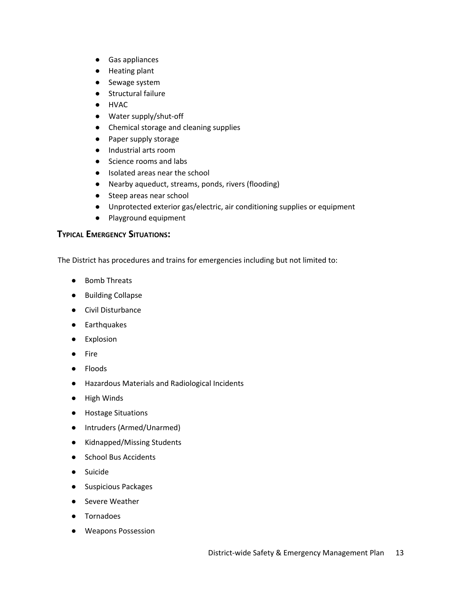- Gas appliances
- Heating plant
- Sewage system
- Structural failure
- HVAC
- Water supply/shut-off
- Chemical storage and cleaning supplies
- Paper supply storage
- Industrial arts room
- Science rooms and labs
- Isolated areas near the school
- Nearby aqueduct, streams, ponds, rivers (flooding)
- Steep areas near school
- Unprotected exterior gas/electric, air conditioning supplies or equipment
- Playground equipment

## **TYPICAL EMERGENCY SITUATIONS:**

The District has procedures and trains for emergencies including but not limited to:

- Bomb Threats
- Building Collapse
- Civil Disturbance
- Earthquakes
- Explosion
- Fire
- Floods
- Hazardous Materials and Radiological Incidents
- High Winds
- Hostage Situations
- Intruders (Armed/Unarmed)
- Kidnapped/Missing Students
- School Bus Accidents
- Suicide
- Suspicious Packages
- Severe Weather
- Tornadoes
- Weapons Possession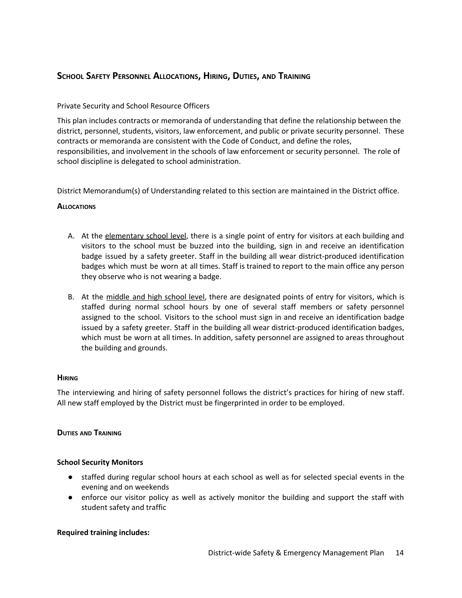## **SCHOOL SAFETY PERSONNEL ALLOCATIONS, HIRING, DUTIES, AND TRAINING**

## Private Security and School Resource Officers

This plan includes contracts or memoranda of understanding that define the relationship between the district, personnel, students, visitors, law enforcement, and public or private security personnel. These contracts or memoranda are consistent with the Code of Conduct, and define the roles, responsibilities, and involvement in the schools of law enforcement or security personnel. The role of school discipline is delegated to school administration.

District Memorandum(s) of Understanding related to this section are maintained in the District office.

## **ALLOCATIONS**

- A. At the elementary school level, there is a single point of entry for visitors at each building and visitors to the school must be buzzed into the building, sign in and receive an identification badge issued by a safety greeter. Staff in the building all wear district-produced identification badges which must be worn at all times. Staff is trained to report to the main office any person they observe who is not wearing a badge.
- B. At the middle and high school level, there are designated points of entry for visitors, which is staffed during normal school hours by one of several staff members or safety personnel assigned to the school. Visitors to the school must sign in and receive an identification badge issued by a safety greeter. Staff in the building all wear district-produced identification badges, which must be worn at all times. In addition, safety personnel are assigned to areas throughout the building and grounds.

#### **HIRING**

The interviewing and hiring of safety personnel follows the district's practices for hiring of new staff. All new staff employed by the District must be fingerprinted in order to be employed.

#### **DUTIES AND TRAINING**

#### **School Security Monitors**

- staffed during regular school hours at each school as well as for selected special events in the evening and on weekends
- enforce our visitor policy as well as actively monitor the building and support the staff with student safety and traffic

## **Required training includes:**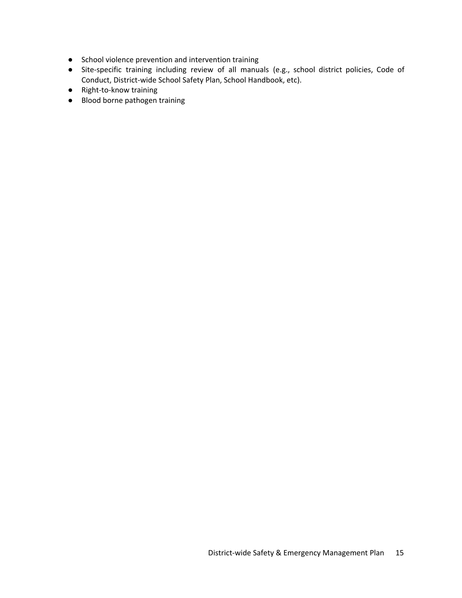- School violence prevention and intervention training
- Site-specific training including review of all manuals (e.g., school district policies, Code of Conduct, District-wide School Safety Plan, School Handbook, etc).
- Right-to-know training
- Blood borne pathogen training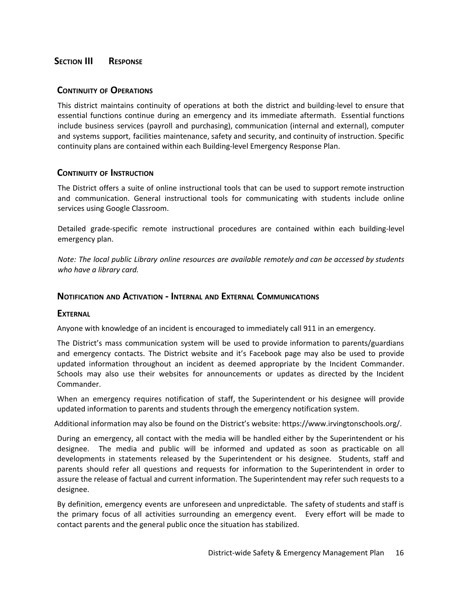## **SECTION III RESPONSE**

#### **CONTINUITY OF OPERATIONS**

This district maintains continuity of operations at both the district and building-level to ensure that essential functions continue during an emergency and its immediate aftermath. Essential functions include business services (payroll and purchasing), communication (internal and external), computer and systems support, facilities maintenance, safety and security, and continuity of instruction. Specific continuity plans are contained within each Building-level Emergency Response Plan.

## **CONTINUITY OF INSTRUCTION**

The District offers a suite of online instructional tools that can be used to support remote instruction and communication. General instructional tools for communicating with students include online services using Google Classroom.

Detailed grade-specific remote instructional procedures are contained within each building-level emergency plan.

*Note: The local public Library online resources are available remotely and can be accessed by students who have a library card.*

#### **NOTIFICATION AND ACTIVATION - INTERNAL AND EXTERNAL COMMUNICATIONS**

#### **EXTERNAL**

Anyone with knowledge of an incident is encouraged to immediately call 911 in an emergency.

The District's mass communication system will be used to provide information to parents/guardians and emergency contacts. The District website and it's Facebook page may also be used to provide updated information throughout an incident as deemed appropriate by the Incident Commander. Schools may also use their websites for announcements or updates as directed by the Incident Commander.

When an emergency requires notification of staff, the Superintendent or his designee will provide updated information to parents and students through the emergency notification system.

Additional information may also be found on the District's website: https://www.irvingtonschools.org/.

During an emergency, all contact with the media will be handled either by the Superintendent or his designee. The media and public will be informed and updated as soon as practicable on all developments in statements released by the Superintendent or his designee. Students, staff and parents should refer all questions and requests for information to the Superintendent in order to assure the release of factual and current information. The Superintendent may refer such requests to a designee.

By definition, emergency events are unforeseen and unpredictable. The safety of students and staff is the primary focus of all activities surrounding an emergency event. Every effort will be made to contact parents and the general public once the situation has stabilized.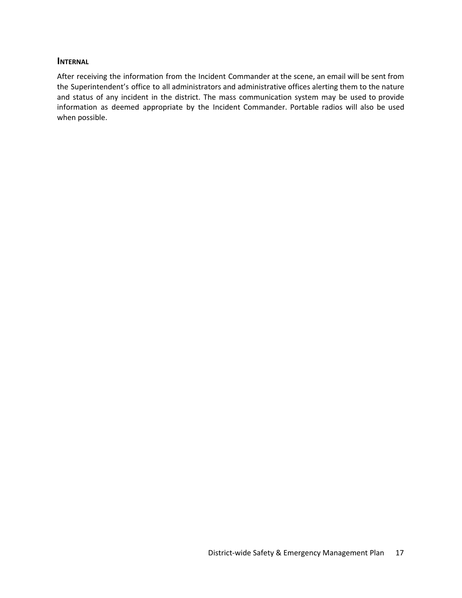#### **INTERNAL**

After receiving the information from the Incident Commander at the scene, an email will be sent from the Superintendent's office to all administrators and administrative offices alerting them to the nature and status of any incident in the district. The mass communication system may be used to provide information as deemed appropriate by the Incident Commander. Portable radios will also be used when possible.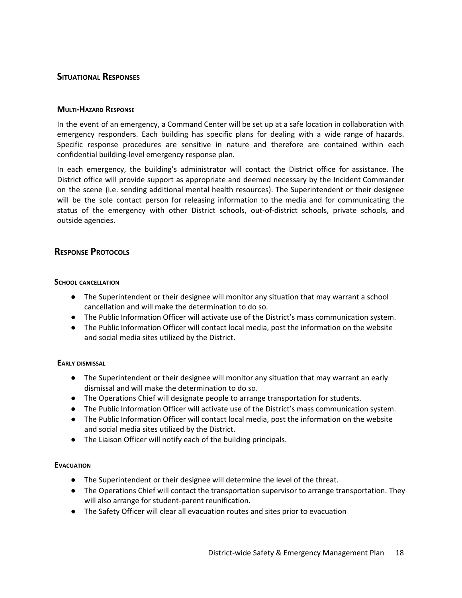## **SITUATIONAL RESPONSES**

#### **MULTI-HAZARD RESPONSE**

In the event of an emergency, a Command Center will be set up at a safe location in collaboration with emergency responders. Each building has specific plans for dealing with a wide range of hazards. Specific response procedures are sensitive in nature and therefore are contained within each confidential building-level emergency response plan.

In each emergency, the building's administrator will contact the District office for assistance. The District office will provide support as appropriate and deemed necessary by the Incident Commander on the scene (i.e. sending additional mental health resources). The Superintendent or their designee will be the sole contact person for releasing information to the media and for communicating the status of the emergency with other District schools, out-of-district schools, private schools, and outside agencies.

#### **RESPONSE PROTOCOLS**

#### **SCHOOL CANCELLATION**

- The Superintendent or their designee will monitor any situation that may warrant a school cancellation and will make the determination to do so.
- The Public Information Officer will activate use of the District's mass communication system.
- The Public Information Officer will contact local media, post the information on the website and social media sites utilized by the District.

#### **EARLY DISMISSAL**

- The Superintendent or their designee will monitor any situation that may warrant an early dismissal and will make the determination to do so.
- The Operations Chief will designate people to arrange transportation for students.
- The Public Information Officer will activate use of the District's mass communication system.
- The Public Information Officer will contact local media, post the information on the website and social media sites utilized by the District.
- The Liaison Officer will notify each of the building principals.

#### **EVACUATION**

- The Superintendent or their designee will determine the level of the threat.
- The Operations Chief will contact the transportation supervisor to arrange transportation. They will also arrange for student-parent reunification.
- The Safety Officer will clear all evacuation routes and sites prior to evacuation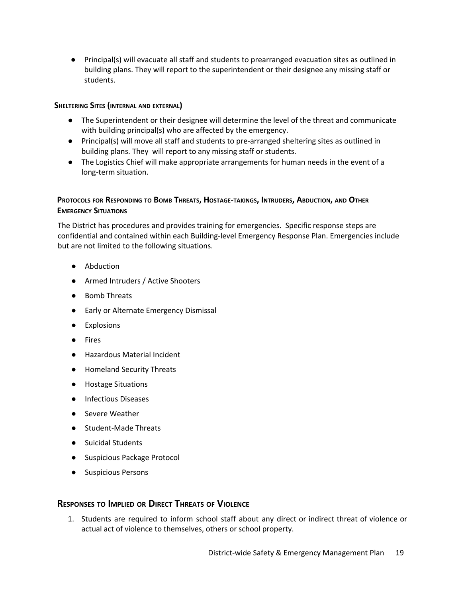● Principal(s) will evacuate all staff and students to prearranged evacuation sites as outlined in building plans. They will report to the superintendent or their designee any missing staff or students.

#### **SHELTERING SITES (INTERNAL AND EXTERNAL)**

- The Superintendent or their designee will determine the level of the threat and communicate with building principal(s) who are affected by the emergency.
- Principal(s) will move all staff and students to pre-arranged sheltering sites as outlined in building plans. They will report to any missing staff or students.
- The Logistics Chief will make appropriate arrangements for human needs in the event of a long-term situation.

## PROTOCOLS FOR RESPONDING TO BOMB THREATS, HOSTAGE-TAKINGS, INTRUDERS, ABDUCTION, AND OTHER **EMERGENCY SITUATIONS**

The District has procedures and provides training for emergencies. Specific response steps are confidential and contained within each Building-level Emergency Response Plan. Emergencies include but are not limited to the following situations.

- Abduction
- Armed Intruders / Active Shooters
- Bomb Threats
- Early or Alternate Emergency Dismissal
- Explosions
- Fires
- **Hazardous Material Incident**
- Homeland Security Threats
- Hostage Situations
- Infectious Diseases
- Severe Weather
- Student-Made Threats
- Suicidal Students
- Suspicious Package Protocol
- Suspicious Persons

## **RESPONSES TO IMPLIED OR DIRECT THREATS OF VIOLENCE**

1. Students are required to inform school staff about any direct or indirect threat of violence or actual act of violence to themselves, others or school property.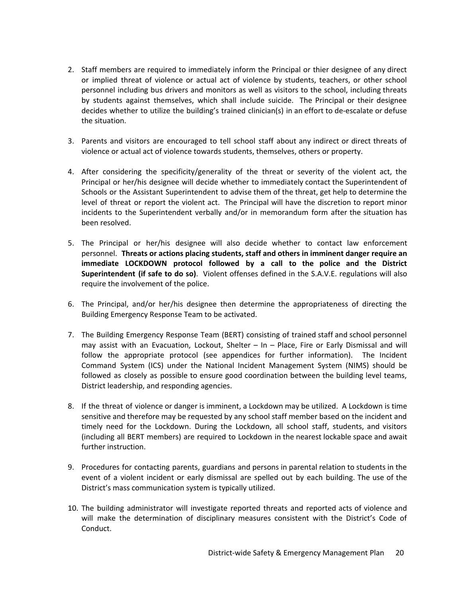- 2. Staff members are required to immediately inform the Principal or thier designee of any direct or implied threat of violence or actual act of violence by students, teachers, or other school personnel including bus drivers and monitors as well as visitors to the school, including threats by students against themselves, which shall include suicide. The Principal or their designee decides whether to utilize the building's trained clinician(s) in an effort to de-escalate or defuse the situation.
- 3. Parents and visitors are encouraged to tell school staff about any indirect or direct threats of violence or actual act of violence towards students, themselves, others or property.
- 4. After considering the specificity/generality of the threat or severity of the violent act, the Principal or her/his designee will decide whether to immediately contact the Superintendent of Schools or the Assistant Superintendent to advise them of the threat, get help to determine the level of threat or report the violent act. The Principal will have the discretion to report minor incidents to the Superintendent verbally and/or in memorandum form after the situation has been resolved.
- 5. The Principal or her/his designee will also decide whether to contact law enforcement personnel. **Threats or actions placing students, staff and others in imminent danger require an immediate LOCKDOWN protocol followed by a call to the police and the District Superintendent (if safe to do so)**. Violent offenses defined in the S.A.V.E. regulations will also require the involvement of the police.
- 6. The Principal, and/or her/his designee then determine the appropriateness of directing the Building Emergency Response Team to be activated.
- 7. The Building Emergency Response Team (BERT) consisting of trained staff and school personnel may assist with an Evacuation, Lockout, Shelter – In – Place, Fire or Early Dismissal and will follow the appropriate protocol (see appendices for further information). The Incident Command System (ICS) under the National Incident Management System (NIMS) should be followed as closely as possible to ensure good coordination between the building level teams, District leadership, and responding agencies.
- 8. If the threat of violence or danger is imminent, a Lockdown may be utilized. A Lockdown is time sensitive and therefore may be requested by any school staff member based on the incident and timely need for the Lockdown. During the Lockdown, all school staff, students, and visitors (including all BERT members) are required to Lockdown in the nearest lockable space and await further instruction.
- 9. Procedures for contacting parents, guardians and persons in parental relation to students in the event of a violent incident or early dismissal are spelled out by each building. The use of the District's mass communication system is typically utilized.
- 10. The building administrator will investigate reported threats and reported acts of violence and will make the determination of disciplinary measures consistent with the District's Code of Conduct.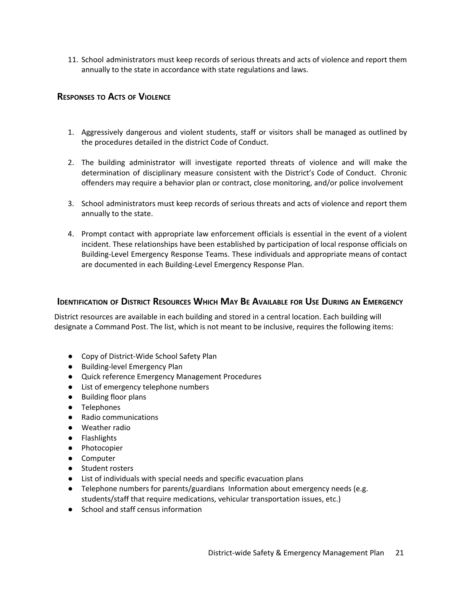11. School administrators must keep records of serious threats and acts of violence and report them annually to the state in accordance with state regulations and laws.

## **RESPONSES TO ACTS OF VIOLENCE**

- 1. Aggressively dangerous and violent students, staff or visitors shall be managed as outlined by the procedures detailed in the district Code of Conduct.
- 2. The building administrator will investigate reported threats of violence and will make the determination of disciplinary measure consistent with the District's Code of Conduct. Chronic offenders may require a behavior plan or contract, close monitoring, and/or police involvement
- 3. School administrators must keep records of serious threats and acts of violence and report them annually to the state.
- 4. Prompt contact with appropriate law enforcement officials is essential in the event of a violent incident. These relationships have been established by participation of local response officials on Building-Level Emergency Response Teams. These individuals and appropriate means of contact are documented in each Building-Level Emergency Response Plan.

## **IDENTIFICATION OF DISTRICT RESOURCES WHICH MAY BE AVAILABLE FOR USE DURING AN EMERGENCY**

District resources are available in each building and stored in a central location. Each building will designate a Command Post. The list, which is not meant to be inclusive, requires the following items:

- Copy of District-Wide School Safety Plan
- Building-level Emergency Plan
- Quick reference Emergency Management Procedures
- List of emergency telephone numbers
- Building floor plans
- Telephones
- Radio communications
- Weather radio
- Flashlights
- Photocopier
- Computer
- Student rosters
- List of individuals with special needs and specific evacuation plans
- Telephone numbers for parents/guardians Information about emergency needs (e.g. students/staff that require medications, vehicular transportation issues, etc.)
- School and staff census information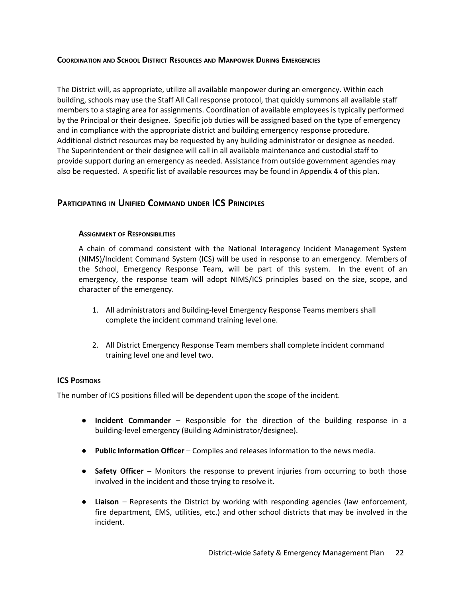#### **COORDINATION AND SCHOOL DISTRICT RESOURCES AND MANPOWER DURING EMERGENCIES**

The District will, as appropriate, utilize all available manpower during an emergency. Within each building, schools may use the Staff All Call response protocol, that quickly summons all available staff members to a staging area for assignments. Coordination of available employees is typically performed by the Principal or their designee. Specific job duties will be assigned based on the type of emergency and in compliance with the appropriate district and building emergency response procedure. Additional district resources may be requested by any building administrator or designee as needed. The Superintendent or their designee will call in all available maintenance and custodial staff to provide support during an emergency as needed. Assistance from outside government agencies may also be requested. A specific list of available resources may be found in Appendix 4 of this plan.

#### **PARTICIPATING IN UNIFIED COMMAND UNDER ICS PRINCIPLES**

#### **ASSIGNMENT OF RESPONSIBILITIES**

A chain of command consistent with the National Interagency Incident Management System (NIMS)/Incident Command System (ICS) will be used in response to an emergency. Members of the School, Emergency Response Team, will be part of this system. In the event of an emergency, the response team will adopt NIMS/ICS principles based on the size, scope, and character of the emergency.

- 1. All administrators and Building-level Emergency Response Teams members shall complete the incident command training level one.
- 2. All District Emergency Response Team members shall complete incident command training level one and level two.

#### **ICS POSITIONS**

The number of ICS positions filled will be dependent upon the scope of the incident.

- **Incident Commander** Responsible for the direction of the building response in a building-level emergency (Building Administrator/designee).
- **Public Information Officer** Compiles and releases information to the news media.
- **Safety Officer** Monitors the response to prevent injuries from occurring to both those involved in the incident and those trying to resolve it.
- **Liaison** Represents the District by working with responding agencies (law enforcement, fire department, EMS, utilities, etc.) and other school districts that may be involved in the incident.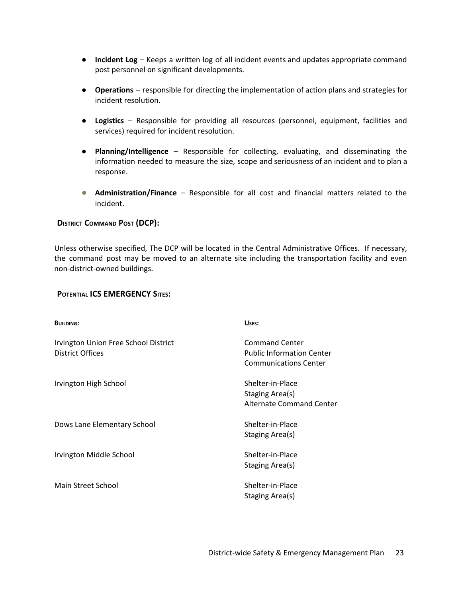- **Incident Log** Keeps a written log of all incident events and updates appropriate command post personnel on significant developments.
- **Operations** responsible for directing the implementation of action plans and strategies for incident resolution.
- **Logistics** Responsible for providing all resources (personnel, equipment, facilities and services) required for incident resolution.
- **Planning/Intelligence** Responsible for collecting, evaluating, and disseminating the information needed to measure the size, scope and seriousness of an incident and to plan a response.
- **Administration/Finance** Responsible for all cost and financial matters related to the incident.

#### **DISTRICT COMMAND POST (DCP):**

Unless otherwise specified, The DCP will be located in the Central Administrative Offices. If necessary, the command post may be moved to an alternate site including the transportation facility and even non-district-owned buildings.

#### **POTENTIAL ICS EMERGENCY SITES:**

| <b>BUILDING:</b>                                                | USES:                                                                                     |
|-----------------------------------------------------------------|-------------------------------------------------------------------------------------------|
| Irvington Union Free School District<br><b>District Offices</b> | <b>Command Center</b><br><b>Public Information Center</b><br><b>Communications Center</b> |
| Irvington High School                                           | Shelter-in-Place<br>Staging Area(s)<br>Alternate Command Center                           |
| Dows Lane Elementary School                                     | Shelter-in-Place<br>Staging Area(s)                                                       |
| Irvington Middle School                                         | Shelter-in-Place<br>Staging Area(s)                                                       |
| Main Street School                                              | Shelter-in-Place<br>Staging Area(s)                                                       |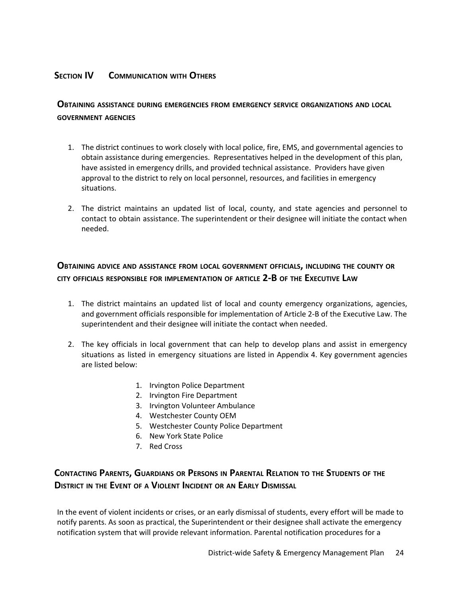## **SECTION IV COMMUNICATION WITH OTHERS**

## **OBTAINING ASSISTANCE DURING EMERGENCIES FROM EMERGENCY SERVICE ORGANIZATIONS AND LOCAL GOVERNMENT AGENCIES**

- 1. The district continues to work closely with local police, fire, EMS, and governmental agencies to obtain assistance during emergencies. Representatives helped in the development of this plan, have assisted in emergency drills, and provided technical assistance. Providers have given approval to the district to rely on local personnel, resources, and facilities in emergency situations.
- 2. The district maintains an updated list of local, county, and state agencies and personnel to contact to obtain assistance. The superintendent or their designee will initiate the contact when needed.

## **OBTAINING ADVICE AND ASSISTANCE FROM LOCAL GOVERNMENT OFFICIALS, INCLUDING THE COUNTY OR CITY OFFICIALS RESPONSIBLE FOR IMPLEMENTATION OF ARTICLE 2-B OF THE EXECUTIVE LAW**

- 1. The district maintains an updated list of local and county emergency organizations, agencies, and government officials responsible for implementation of Article 2-B of the Executive Law. The superintendent and their designee will initiate the contact when needed.
- 2. The key officials in local government that can help to develop plans and assist in emergency situations as listed in emergency situations are listed in Appendix 4. Key government agencies are listed below:
	- 1. Irvington Police Department
	- 2. Irvington Fire Department
	- 3. Irvington Volunteer Ambulance
	- 4. Westchester County OEM
	- 5. Westchester County Police Department
	- 6. New York State Police
	- 7. Red Cross

## CONTACTING PARENTS, GUARDIANS OR PERSONS IN PARENTAL RELATION TO THE STUDENTS OF THE **DISTRICT IN THE EVENT OF <sup>A</sup> VIOLENT INCIDENT OR AN EARLY DISMISSAL**

In the event of violent incidents or crises, or an early dismissal of students, every effort will be made to notify parents. As soon as practical, the Superintendent or their designee shall activate the emergency notification system that will provide relevant information. Parental notification procedures for a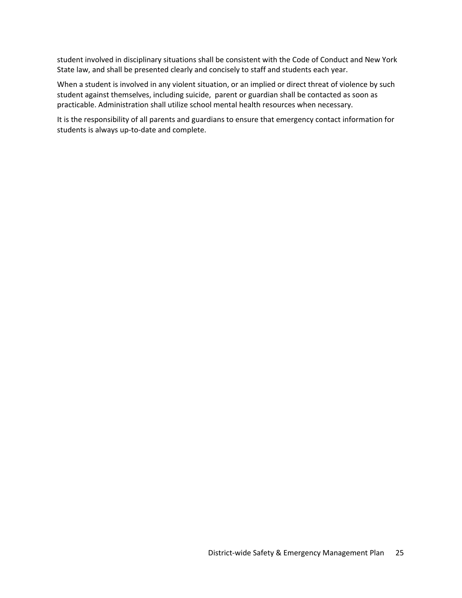student involved in disciplinary situations shall be consistent with the Code of Conduct and New York State law, and shall be presented clearly and concisely to staff and students each year.

When a student is involved in any violent situation, or an implied or direct threat of violence by such student against themselves, including suicide, parent or guardian shall be contacted as soon as practicable. Administration shall utilize school mental health resources when necessary.

It is the responsibility of all parents and guardians to ensure that emergency contact information for students is always up-to-date and complete.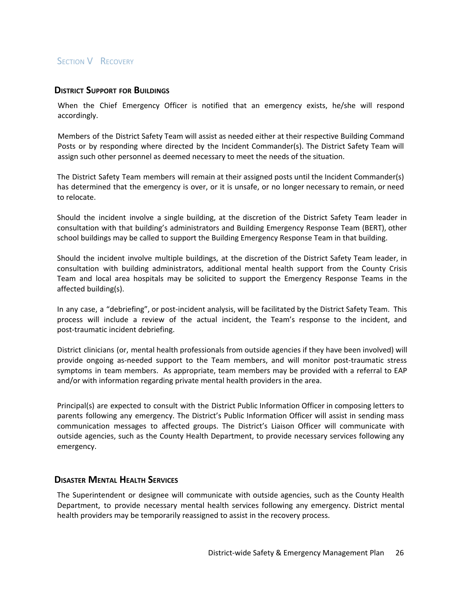## **SECTION V RECOVERY**

#### **DISTRICT SUPPORT FOR BUILDINGS**

When the Chief Emergency Officer is notified that an emergency exists, he/she will respond accordingly.

Members of the District Safety Team will assist as needed either at their respective Building Command Posts or by responding where directed by the Incident Commander(s). The District Safety Team will assign such other personnel as deemed necessary to meet the needs of the situation.

The District Safety Team members will remain at their assigned posts until the Incident Commander(s) has determined that the emergency is over, or it is unsafe, or no longer necessary to remain, or need to relocate.

Should the incident involve a single building, at the discretion of the District Safety Team leader in consultation with that building's administrators and Building Emergency Response Team (BERT), other school buildings may be called to support the Building Emergency Response Team in that building.

Should the incident involve multiple buildings, at the discretion of the District Safety Team leader, in consultation with building administrators, additional mental health support from the County Crisis Team and local area hospitals may be solicited to support the Emergency Response Teams in the affected building(s).

In any case, a "debriefing", or post-incident analysis, will be facilitated by the District Safety Team. This process will include a review of the actual incident, the Team's response to the incident, and post-traumatic incident debriefing.

District clinicians (or, mental health professionals from outside agencies if they have been involved) will provide ongoing as-needed support to the Team members, and will monitor post-traumatic stress symptoms in team members. As appropriate, team members may be provided with a referral to EAP and/or with information regarding private mental health providers in the area.

Principal(s) are expected to consult with the District Public Information Officer in composing letters to parents following any emergency. The District's Public Information Officer will assist in sending mass communication messages to affected groups. The District's Liaison Officer will communicate with outside agencies, such as the County Health Department, to provide necessary services following any emergency.

#### **DISASTER MENTAL HEALTH SERVICES**

The Superintendent or designee will communicate with outside agencies, such as the County Health Department, to provide necessary mental health services following any emergency. District mental health providers may be temporarily reassigned to assist in the recovery process.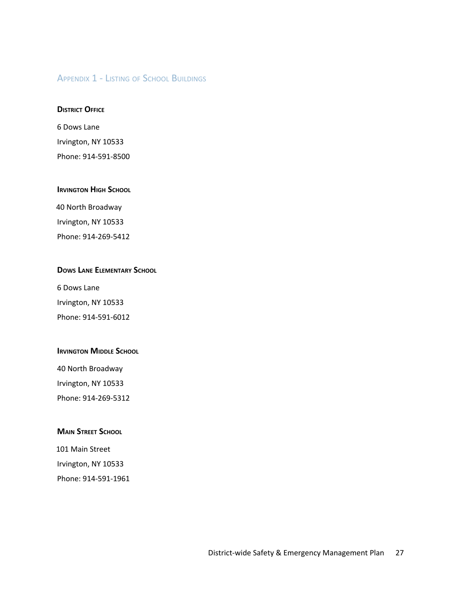## APPENDIX 1 - LISTING OF SCHOOL BUILDINGS

#### **DISTRICT OFFICE**

6 Dows Lane Irvington, NY 10533 Phone: 914-591-8500

#### **IRVINGTON HIGH SCHOOL**

40 North Broadway Irvington, NY 10533 Phone: 914-269-5412

## **DOWS LANE ELEMENTARY SCHOOL**

6 Dows Lane Irvington, NY 10533 Phone: 914-591-6012

#### **IRVINGTON MIDDLE SCHOOL**

40 North Broadway Irvington, NY 10533 Phone: 914-269-5312

#### **MAIN STREET SCHOOL**

101 Main Street Irvington, NY 10533 Phone: 914-591-1961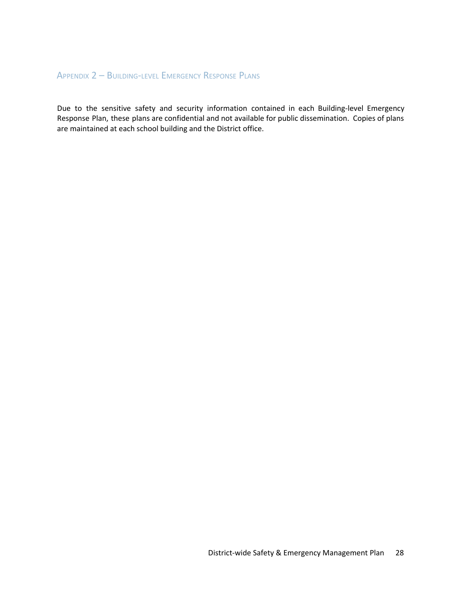## APPENDIX 2 – BUILDING-LEVEL EMERGENCY RESPONSE PLANS

Due to the sensitive safety and security information contained in each Building-level Emergency Response Plan, these plans are confidential and not available for public dissemination. Copies of plans are maintained at each school building and the District office.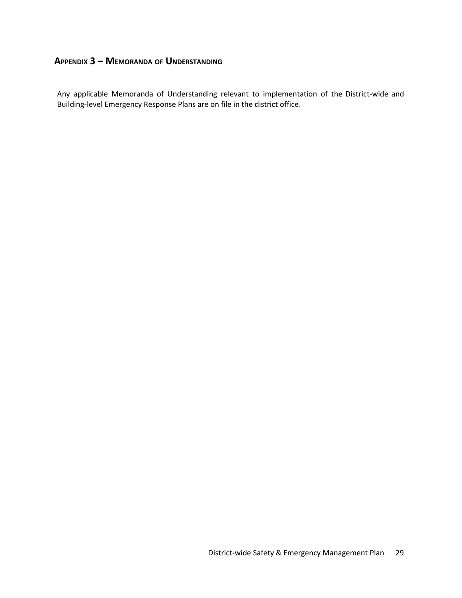## **APPENDIX 3 – MEMORANDA OF UNDERSTANDING**

Any applicable Memoranda of Understanding relevant to implementation of the District-wide and Building-level Emergency Response Plans are on file in the district office.